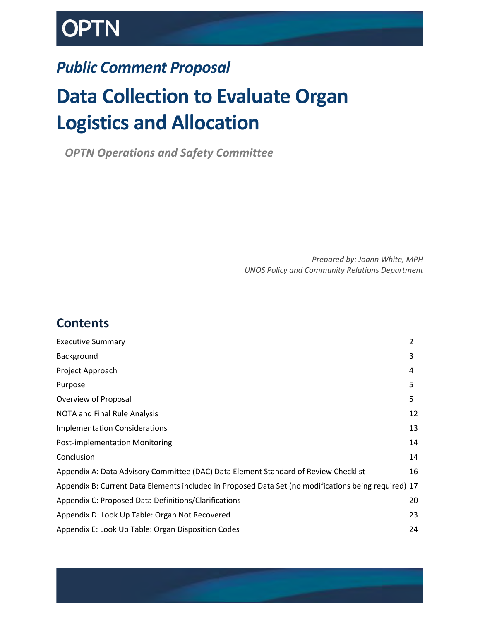# **OPTN**

# *Public Comment Proposal*

# **Data Collection to Evaluate Organ Logistics and Allocation**

*OPTN Operations and Safety Committee*

*Prepared by: Joann White, MPH UNOS Policy and Community Relations Department*

# **Contents**

| <b>Executive Summary</b>                                                                             | $\overline{2}$ |
|------------------------------------------------------------------------------------------------------|----------------|
| Background                                                                                           | 3              |
| Project Approach                                                                                     | 4              |
| Purpose                                                                                              | 5              |
| Overview of Proposal                                                                                 | 5              |
| NOTA and Final Rule Analysis                                                                         | 12             |
| <b>Implementation Considerations</b>                                                                 | 13             |
| <b>Post-implementation Monitoring</b>                                                                | 14             |
| Conclusion                                                                                           | 14             |
| Appendix A: Data Advisory Committee (DAC) Data Element Standard of Review Checklist                  | 16             |
| Appendix B: Current Data Elements included in Proposed Data Set (no modifications being required) 17 |                |
| Appendix C: Proposed Data Definitions/Clarifications                                                 | 20             |
| Appendix D: Look Up Table: Organ Not Recovered                                                       | 23             |
| Appendix E: Look Up Table: Organ Disposition Codes                                                   | 24             |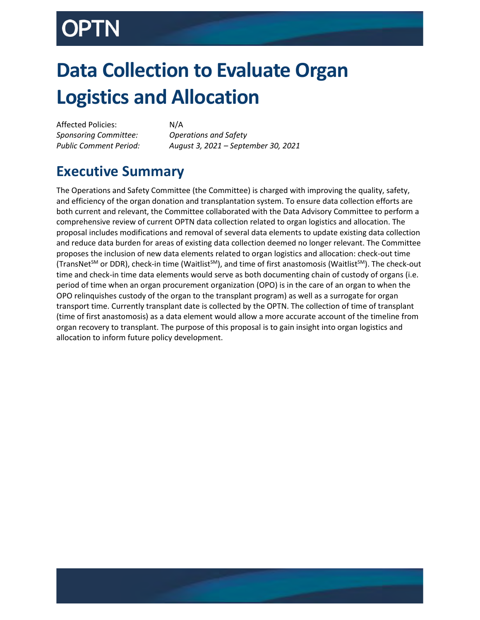# **Data Collection to Evaluate Organ Logistics and Allocation**

Affected Policies: N/A *Sponsoring Committee: Operations and Safety*

*Public Comment Period: August 3, 2021 – September 30, 2021*

# <span id="page-1-0"></span>**Executive Summary**

The Operations and Safety Committee (the Committee) is charged with improving the quality, safety, and efficiency of the organ donation and transplantation system. To ensure data collection efforts are both current and relevant, the Committee collaborated with the Data Advisory Committee to perform a comprehensive review of current OPTN data collection related to organ logistics and allocation. The proposal includes modifications and removal of several data elements to update existing data collection and reduce data burden for areas of existing data collection deemed no longer relevant. The Committee proposes the inclusion of new data elements related to organ logistics and allocation: check-out time (TransNet<sup>SM</sup> or DDR), check-in time (Waitlist<sup>SM</sup>), and time of first anastomosis (Waitlist<sup>SM</sup>). The check-out time and check-in time data elements would serve as both documenting chain of custody of organs (i.e. period of time when an organ procurement organization (OPO) is in the care of an organ to when the OPO relinquishes custody of the organ to the transplant program) as well as a surrogate for organ transport time. Currently transplant date is collected by the OPTN. The collection of time of transplant (time of first anastomosis) as a data element would allow a more accurate account of the timeline from organ recovery to transplant. The purpose of this proposal is to gain insight into organ logistics and allocation to inform future policy development.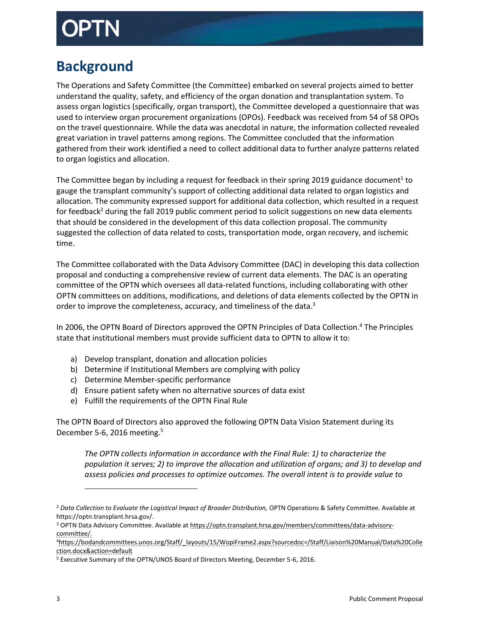# <span id="page-2-0"></span>**Background**

The Operations and Safety Committee (the Committee) embarked on several projects aimed to better understand the quality, safety, and efficiency of the organ donation and transplantation system. To assess organ logistics (specifically, organ transport), the Committee developed a questionnaire that was used to interview organ procurement organizations (OPOs). Feedback was received from 54 of 58 OPOs on the travel questionnaire. While the data was anecdotal in nature, the information collected revealed great variation in travel patterns among regions. The Committee concluded that the information gathered from their work identified a need to collect additional data to further analyze patterns related to organ logistics and allocation.

The Committee began by including a request for feedback in their spring 2019 guidance document<sup>1</sup> to gauge the transplant community's support of collecting additional data related to organ logistics and allocation. The community expressed support for additional data collection, which resulted in a request for feedback<sup>2</sup> during the fall 2019 public comment period to solicit suggestions on new data elements that should be considered in the development of this data collection proposal. The community suggested the collection of data related to costs, transportation mode, organ recovery, and ischemic time.

The Committee collaborated with the Data Advisory Committee (DAC) in developing this data collection proposal and conducting a comprehensive review of current data elements. The DAC is an operating committee of the OPTN which oversees all data-related functions, including collaborating with other OPTN committees on additions, modifications, and deletions of data elements collected by the OPTN in order to improve the completeness, accuracy, and timeliness of the data.<sup>3</sup>

In 2006, the OPTN Board of Directors approved the OPTN Principles of Data Collection. <sup>4</sup> The Principles state that institutional members must provide sufficient data to OPTN to allow it to:

- a) Develop transplant, donation and allocation policies
- b) Determine if Institutional Members are complying with policy
- c) Determine Member-specific performance
- d) Ensure patient safety when no alternative sources of data exist
- e) Fulfill the requirements of the OPTN Final Rule

The OPTN Board of Directors also approved the following OPTN Data Vision Statement during its December 5-6, 2016 meeting.<sup>5</sup>

*The OPTN collects information in accordance with the Final Rule: 1) to characterize the population it serves; 2) to improve the allocation and utilization of organs; and 3) to develop and assess policies and processes to optimize outcomes. The overall intent is to provide value to* 

 $\overline{\phantom{a}}$ 

<sup>&</sup>lt;sup>2</sup> Data Collection to Evaluate the Logistical Impact of Broader Distribution, OPTN Operations & Safety Committee. Available at https://optn.transplant.hrsa.gov/.

<sup>&</sup>lt;sup>3</sup> OPTN Data Advisory Committee. Available a[t https://optn.transplant.hrsa.gov/members/committees/data-advisory](https://optn.transplant.hrsa.gov/members/committees/data-advisory-committee/)[committee/.](https://optn.transplant.hrsa.gov/members/committees/data-advisory-committee/)

<sup>4</sup>[https://bodandcommittees.unos.org/Staff/\\_layouts/15/WopiFrame2.aspx?sourcedoc=/Staff/Liaison%20Manual/Data%20Colle](https://bodandcommittees.unos.org/Staff/_layouts/15/WopiFrame2.aspx?sourcedoc=/Staff/Liaison%20Manual/Data%20Collection.docx&action=default) [ction.docx&action=default](https://bodandcommittees.unos.org/Staff/_layouts/15/WopiFrame2.aspx?sourcedoc=/Staff/Liaison%20Manual/Data%20Collection.docx&action=default)

<sup>5</sup> Executive Summary of the OPTN/UNOS Board of Directors Meeting, December 5-6, 2016.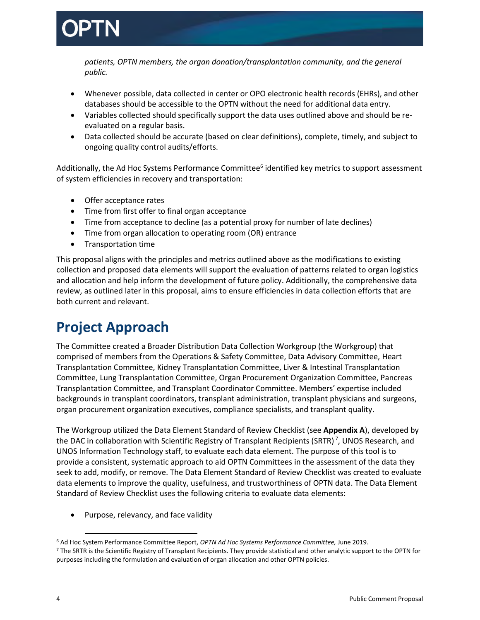

*patients, OPTN members, the organ donation/transplantation community, and the general public.*

- Whenever possible, data collected in center or OPO electronic health records (EHRs), and other databases should be accessible to the OPTN without the need for additional data entry.
- Variables collected should specifically support the data uses outlined above and should be reevaluated on a regular basis.
- Data collected should be accurate (based on clear definitions), complete, timely, and subject to ongoing quality control audits/efforts.

Additionally, the Ad Hoc Systems Performance Committee<sup>6</sup> identified key metrics to support assessment of system efficiencies in recovery and transportation:

- Offer acceptance rates
- Time from first offer to final organ acceptance
- Time from acceptance to decline (as a potential proxy for number of late declines)
- Time from organ allocation to operating room (OR) entrance
- Transportation time

This proposal aligns with the principles and metrics outlined above as the modifications to existing collection and proposed data elements will support the evaluation of patterns related to organ logistics and allocation and help inform the development of future policy. Additionally, the comprehensive data review, as outlined later in this proposal, aims to ensure efficiencies in data collection efforts that are both current and relevant.

# <span id="page-3-0"></span>**Project Approach**

The Committee created a Broader Distribution Data Collection Workgroup (the Workgroup) that comprised of members from the Operations & Safety Committee, Data Advisory Committee, Heart Transplantation Committee, Kidney Transplantation Committee, Liver & Intestinal Transplantation Committee, Lung Transplantation Committee, Organ Procurement Organization Committee, Pancreas Transplantation Committee, and Transplant Coordinator Committee. Members' expertise included backgrounds in transplant coordinators, transplant administration, transplant physicians and surgeons, organ procurement organization executives, compliance specialists, and transplant quality.

The Workgroup utilized the Data Element Standard of Review Checklist (see **Appendix A**), developed by the DAC in collaboration with Scientific Registry of Transplant Recipients (SRTR)<sup>7</sup>, UNOS Research, and UNOS Information Technology staff, to evaluate each data element. The purpose of this tool is to provide a consistent, systematic approach to aid OPTN Committees in the assessment of the data they seek to add, modify, or remove. The Data Element Standard of Review Checklist was created to evaluate data elements to improve the quality, usefulness, and trustworthiness of OPTN data. The Data Element Standard of Review Checklist uses the following criteria to evaluate data elements:

Purpose, relevancy, and face validity

 $\overline{\phantom{a}}$ 

<sup>6</sup> Ad Hoc System Performance Committee Report, *OPTN Ad Hoc Systems Performance Committee,* June 2019.

<sup>7</sup> The SRTR is the Scientific Registry of Transplant Recipients. They provide statistical and other analytic support to the OPTN for purposes including the formulation and evaluation of organ allocation and other OPTN policies.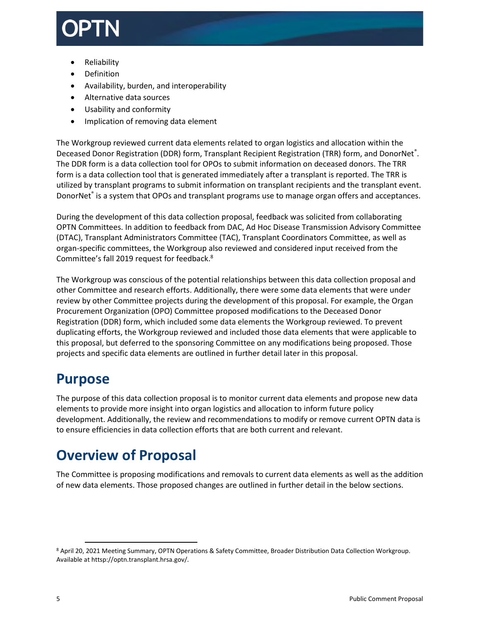

- Reliability
- Definition
- Availability, burden, and interoperability
- Alternative data sources
- Usability and conformity
- Implication of removing data element

The Workgroup reviewed current data elements related to organ logistics and allocation within the Deceased Donor Registration (DDR) form, Transplant Recipient Registration (TRR) form, and DonorNet®. The DDR form is a data collection tool for OPOs to submit information on deceased donors. The TRR form is a data collection tool that is generated immediately after a transplant is reported. The TRR is utilized by transplant programs to submit information on transplant recipients and the transplant event. DonorNet<sup>®</sup> is a system that OPOs and transplant programs use to manage organ offers and acceptances.

During the development of this data collection proposal, feedback was solicited from collaborating OPTN Committees. In addition to feedback from DAC, Ad Hoc Disease Transmission Advisory Committee (DTAC), Transplant Administrators Committee (TAC), Transplant Coordinators Committee, as well as organ-specific committees, the Workgroup also reviewed and considered input received from the Committee's fall 2019 request for feedback. 8

The Workgroup was conscious of the potential relationships between this data collection proposal and other Committee and research efforts. Additionally, there were some data elements that were under review by other Committee projects during the development of this proposal. For example, the Organ Procurement Organization (OPO) Committee proposed modifications to the Deceased Donor Registration (DDR) form, which included some data elements the Workgroup reviewed. To prevent duplicating efforts, the Workgroup reviewed and included those data elements that were applicable to this proposal, but deferred to the sponsoring Committee on any modifications being proposed. Those projects and specific data elements are outlined in further detail later in this proposal.

# <span id="page-4-0"></span>**Purpose**

 $\overline{a}$ 

The purpose of this data collection proposal is to monitor current data elements and propose new data elements to provide more insight into organ logistics and allocation to inform future policy development. Additionally, the review and recommendations to modify or remove current OPTN data is to ensure efficiencies in data collection efforts that are both current and relevant.

# <span id="page-4-1"></span>**Overview of Proposal**

The Committee is proposing modifications and removals to current data elements as well as the addition of new data elements. Those proposed changes are outlined in further detail in the below sections.

<sup>8</sup> April 20, 2021 Meeting Summary, OPTN Operations & Safety Committee, Broader Distribution Data Collection Workgroup. Available at httsp://optn.transplant.hrsa.gov/.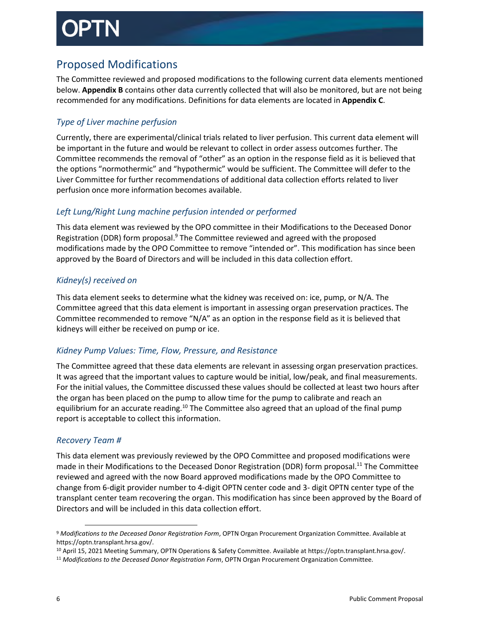# Proposed Modifications

The Committee reviewed and proposed modifications to the following current data elements mentioned below. **Appendix B** contains other data currently collected that will also be monitored, but are not being recommended for any modifications. Definitions for data elements are located in **Appendix C**.

## *Type of Liver machine perfusion*

Currently, there are experimental/clinical trials related to liver perfusion. This current data element will be important in the future and would be relevant to collect in order assess outcomes further. The Committee recommends the removal of "other" as an option in the response field as it is believed that the options "normothermic" and "hypothermic" would be sufficient. The Committee will defer to the Liver Committee for further recommendations of additional data collection efforts related to liver perfusion once more information becomes available.

## *Left Lung/Right Lung machine perfusion intended or performed*

This data element was reviewed by the OPO committee in their Modifications to the Deceased Donor Registration (DDR) form proposal. $9$  The Committee reviewed and agreed with the proposed modifications made by the OPO Committee to remove "intended or". This modification has since been approved by the Board of Directors and will be included in this data collection effort.

## *Kidney(s) received on*

This data element seeks to determine what the kidney was received on: ice, pump, or N/A. The Committee agreed that this data element is important in assessing organ preservation practices. The Committee recommended to remove "N/A" as an option in the response field as it is believed that kidneys will either be received on pump or ice.

## *Kidney Pump Values: Time, Flow, Pressure, and Resistance*

The Committee agreed that these data elements are relevant in assessing organ preservation practices. It was agreed that the important values to capture would be initial, low/peak, and final measurements. For the initial values, the Committee discussed these values should be collected at least two hours after the organ has been placed on the pump to allow time for the pump to calibrate and reach an equilibrium for an accurate reading.<sup>10</sup> The Committee also agreed that an upload of the final pump report is acceptable to collect this information.

### *Recovery Team #*

 $\overline{\phantom{a}}$ 

This data element was previously reviewed by the OPO Committee and proposed modifications were made in their Modifications to the Deceased Donor Registration (DDR) form proposal.<sup>11</sup> The Committee reviewed and agreed with the now Board approved modifications made by the OPO Committee to change from 6-digit provider number to 4-digit OPTN center code and 3- digit OPTN center type of the transplant center team recovering the organ. This modification has since been approved by the Board of Directors and will be included in this data collection effort.

<sup>9</sup> *Modifications to the Deceased Donor Registration Form*, OPTN Organ Procurement Organization Committee. Available at https://optn.transplant.hrsa.gov/.

<sup>10</sup> April 15, 2021 Meeting Summary, OPTN Operations & Safety Committee. Available at https://optn.transplant.hrsa.gov/.

<sup>11</sup> *Modifications to the Deceased Donor Registration Form*, OPTN Organ Procurement Organization Committee.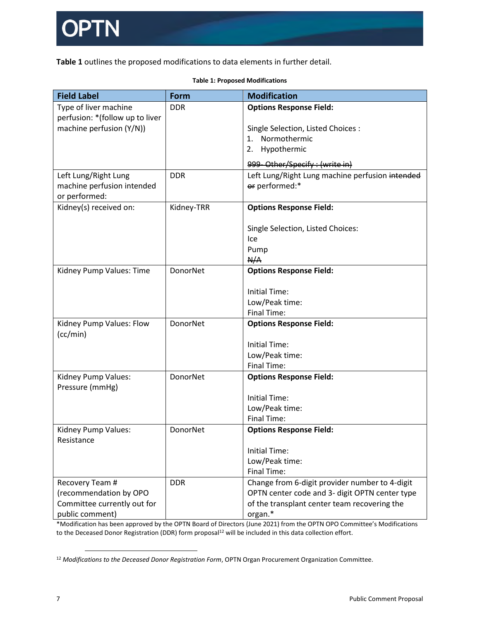

**Table 1** outlines the proposed modifications to data elements in further detail.

| <b>Field Label</b>                   | <b>Form</b> | <b>Modification</b>                             |
|--------------------------------------|-------------|-------------------------------------------------|
| Type of liver machine                | <b>DDR</b>  | <b>Options Response Field:</b>                  |
| perfusion: * (follow up to liver     |             |                                                 |
| machine perfusion (Y/N))             |             | Single Selection, Listed Choices :              |
|                                      |             | Normothermic<br>1.                              |
|                                      |             | 2. Hypothermic                                  |
|                                      |             | 999 Other/Specify: (write in)                   |
| Left Lung/Right Lung                 | <b>DDR</b>  | Left Lung/Right Lung machine perfusion intended |
| machine perfusion intended           |             | or performed:*                                  |
| or performed:                        |             |                                                 |
| Kidney(s) received on:               | Kidney-TRR  | <b>Options Response Field:</b>                  |
|                                      |             |                                                 |
|                                      |             | Single Selection, Listed Choices:               |
|                                      |             | Ice                                             |
|                                      |             | Pump                                            |
|                                      |             | N/A                                             |
| Kidney Pump Values: Time             | DonorNet    | <b>Options Response Field:</b>                  |
|                                      |             |                                                 |
|                                      |             | <b>Initial Time:</b>                            |
|                                      |             | Low/Peak time:                                  |
|                                      |             | <b>Final Time:</b>                              |
| Kidney Pump Values: Flow<br>(cc/min) | DonorNet    | <b>Options Response Field:</b>                  |
|                                      |             | <b>Initial Time:</b>                            |
|                                      |             | Low/Peak time:                                  |
|                                      |             | <b>Final Time:</b>                              |
| Kidney Pump Values:                  | DonorNet    | <b>Options Response Field:</b>                  |
| Pressure (mmHg)                      |             |                                                 |
|                                      |             | <b>Initial Time:</b>                            |
|                                      |             | Low/Peak time:                                  |
|                                      |             | <b>Final Time:</b>                              |
| Kidney Pump Values:                  | DonorNet    | <b>Options Response Field:</b>                  |
| Resistance                           |             |                                                 |
|                                      |             | <b>Initial Time:</b>                            |
|                                      |             | Low/Peak time:                                  |
|                                      |             | <b>Final Time:</b>                              |
| Recovery Team #                      | <b>DDR</b>  | Change from 6-digit provider number to 4-digit  |
| (recommendation by OPO               |             | OPTN center code and 3- digit OPTN center type  |
| Committee currently out for          |             | of the transplant center team recovering the    |
| public comment)                      |             | organ.*                                         |

### **Table 1: Proposed Modifications**

\*Modification has been approved by the OPTN Board of Directors (June 2021) from the OPTN OPO Committee's Modifications to the Deceased Donor Registration (DDR) form proposal<sup>12</sup> will be included in this data collection effort.

 $\overline{a}$ 

<sup>12</sup> *Modifications to the Deceased Donor Registration Form*, OPTN Organ Procurement Organization Committee.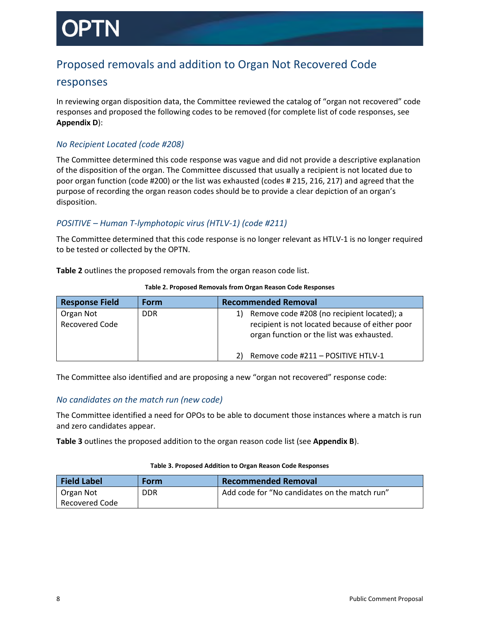# Proposed removals and addition to Organ Not Recovered Code

## responses

In reviewing organ disposition data, the Committee reviewed the catalog of "organ not recovered" code responses and proposed the following codes to be removed (for complete list of code responses, see **Appendix D**):

### *No Recipient Located (code #208)*

The Committee determined this code response was vague and did not provide a descriptive explanation of the disposition of the organ. The Committee discussed that usually a recipient is not located due to poor organ function (code #200) or the list was exhausted (codes # 215, 216, 217) and agreed that the purpose of recording the organ reason codes should be to provide a clear depiction of an organ's disposition.

### *POSITIVE – Human T-lymphotopic virus (HTLV-1) (code #211)*

The Committee determined that this code response is no longer relevant as HTLV-1 is no longer required to be tested or collected by the OPTN.

**Table 2** outlines the proposed removals from the organ reason code list.

| <b>Response Field</b>              | Form       | <b>Recommended Removal</b>                                                                                                                       |
|------------------------------------|------------|--------------------------------------------------------------------------------------------------------------------------------------------------|
| Organ Not<br><b>Recovered Code</b> | <b>DDR</b> | Remove code #208 (no recipient located); a<br>1)<br>recipient is not located because of either poor<br>organ function or the list was exhausted. |
|                                    |            | Remove code #211 - POSITIVE HTLV-1                                                                                                               |

### **Table 2. Proposed Removals from Organ Reason Code Responses**

The Committee also identified and are proposing a new "organ not recovered" response code:

### *No candidates on the match run (new code)*

The Committee identified a need for OPOs to be able to document those instances where a match is run and zero candidates appear.

**Table 3** outlines the proposed addition to the organ reason code list (see **Appendix B**).

### **Table 3. Proposed Addition to Organ Reason Code Responses**

| <b>Field Label</b> | Form | Recommended Removal                           |
|--------------------|------|-----------------------------------------------|
| Organ Not          | DDR  | Add code for "No candidates on the match run" |
| Recovered Code     |      |                                               |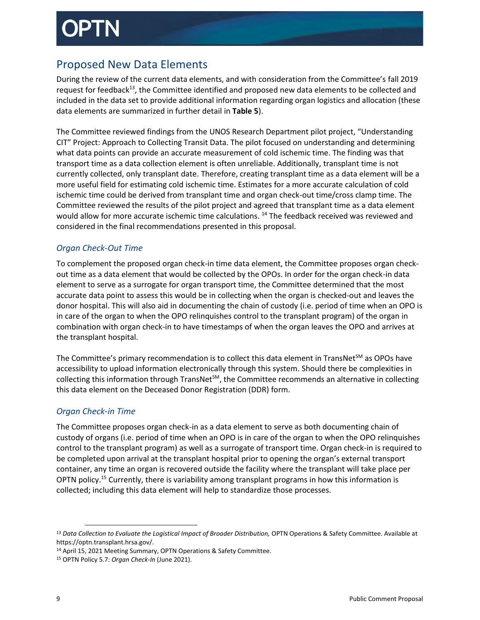# Proposed New Data Elements

During the review of the current data elements, and with consideration from the Committee's fall 2019 request for feedback<sup>13</sup>, the Committee identified and proposed new data elements to be collected and included in the data set to provide additional information regarding organ logistics and allocation (these data elements are summarized in further detail in **Table 5**).

The Committee reviewed findings from the UNOS Research Department pilot project, "Understanding CIT" Project: Approach to Collecting Transit Data. The pilot focused on understanding and determining what data points can provide an accurate measurement of cold ischemic time. The finding was that transport time as a data collection element is often unreliable. Additionally, transplant time is not currently collected, only transplant date. Therefore, creating transplant time as a data element will be a more useful field for estimating cold ischemic time. Estimates for a more accurate calculation of cold ischemic time could be derived from transplant time and organ check-out time/cross clamp time. The Committee reviewed the results of the pilot project and agreed that transplant time as a data element would allow for more accurate ischemic time calculations. <sup>14</sup> The feedback received was reviewed and considered in the final recommendations presented in this proposal.

## *Organ Check-Out Time*

To complement the proposed organ check-in time data element, the Committee proposes organ checkout time as a data element that would be collected by the OPOs. In order for the organ check-in data element to serve as a surrogate for organ transport time, the Committee determined that the most accurate data point to assess this would be in collecting when the organ is checked-out and leaves the donor hospital. This will also aid in documenting the chain of custody (i.e. period of time when an OPO is in care of the organ to when the OPO relinquishes control to the transplant program) of the organ in combination with organ check-in to have timestamps of when the organ leaves the OPO and arrives at the transplant hospital.

The Committee's primary recommendation is to collect this data element in TransNet $^{5M}$  as OPOs have accessibility to upload information electronically through this system. Should there be complexities in collecting this information through TransNet $^{5M}$ , the Committee recommends an alternative in collecting this data element on the Deceased Donor Registration (DDR) form.

## *Organ Check-in Time*

 $\overline{\phantom{a}}$ 

The Committee proposes organ check-in as a data element to serve as both documenting chain of custody of organs (i.e. period of time when an OPO is in care of the organ to when the OPO relinquishes control to the transplant program) as well as a surrogate of transport time. Organ check-in is required to be completed upon arrival at the transplant hospital prior to opening the organ's external transport container, any time an organ is recovered outside the facility where the transplant will take place per OPTN policy.<sup>15</sup> Currently, there is variability among transplant programs in how this information is collected; including this data element will help to standardize those processes.

<sup>&</sup>lt;sup>13</sup> Data Collection to Evaluate the Logistical Impact of Broader Distribution, OPTN Operations & Safety Committee. Available at https://optn.transplant.hrsa.gov/.

<sup>14</sup> April 15, 2021 Meeting Summary, OPTN Operations & Safety Committee.

<sup>15</sup> OPTN Policy 5.7: *Organ Check-In* (June 2021).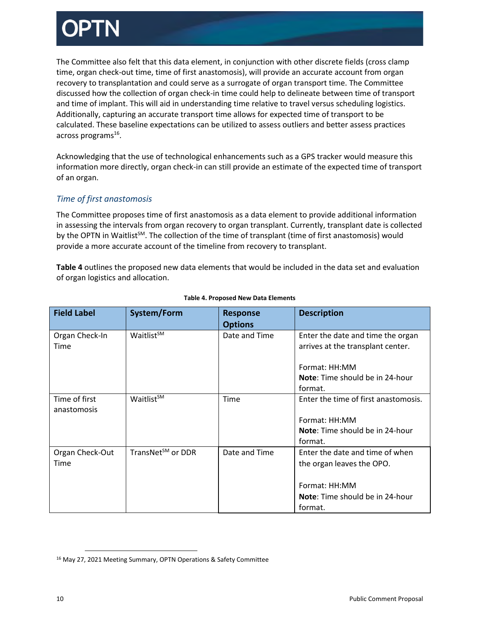The Committee also felt that this data element, in conjunction with other discrete fields (cross clamp time, organ check-out time, time of first anastomosis), will provide an accurate account from organ recovery to transplantation and could serve as a surrogate of organ transport time. The Committee discussed how the collection of organ check-in time could help to delineate between time of transport and time of implant. This will aid in understanding time relative to travel versus scheduling logistics. Additionally, capturing an accurate transport time allows for expected time of transport to be calculated. These baseline expectations can be utilized to assess outliers and better assess practices across programs<sup>16</sup>.

Acknowledging that the use of technological enhancements such as a GPS tracker would measure this information more directly, organ check-in can still provide an estimate of the expected time of transport of an organ.

### *Time of first anastomosis*

The Committee proposes time of first anastomosis as a data element to provide additional information in assessing the intervals from organ recovery to organ transplant. Currently, transplant date is collected by the OPTN in Waitlist<sup>SM</sup>. The collection of the time of transplant (time of first anastomosis) would provide a more accurate account of the timeline from recovery to transplant.

**Table 4** outlines the proposed new data elements that would be included in the data set and evaluation of organ logistics and allocation.

| <b>Field Label</b>           | System/Form                   | <b>Response</b><br><b>Options</b> | <b>Description</b>                                                                                                                    |
|------------------------------|-------------------------------|-----------------------------------|---------------------------------------------------------------------------------------------------------------------------------------|
| Organ Check-In<br>Time       | Waitlist <sup>SM</sup>        | Date and Time                     | Enter the date and time the organ<br>arrives at the transplant center.<br>Format: HH:MM<br>Note: Time should be in 24-hour<br>format. |
| Time of first<br>anastomosis | Waitlist <sup>sM</sup>        | Time                              | Enter the time of first anastomosis.<br>Format: HH:MM<br>Note: Time should be in 24-hour<br>format.                                   |
| Organ Check-Out<br>Time      | TransNet <sup>SM</sup> or DDR | Date and Time                     | Enter the date and time of when<br>the organ leaves the OPO.<br>Format: HH:MM<br>Note: Time should be in 24-hour<br>format.           |

### **Table 4. Proposed New Data Elements**

 $\overline{a}$ 

<sup>16</sup> May 27, 2021 Meeting Summary, OPTN Operations & Safety Committee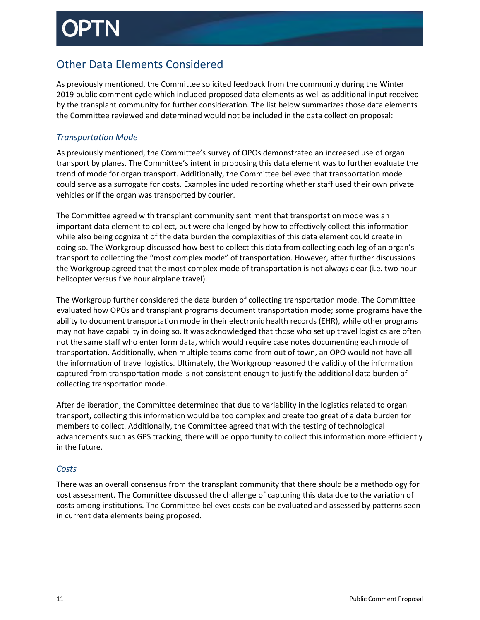# Other Data Elements Considered

As previously mentioned, the Committee solicited feedback from the community during the Winter 2019 public comment cycle which included proposed data elements as well as additional input received by the transplant community for further consideration. The list below summarizes those data elements the Committee reviewed and determined would not be included in the data collection proposal:

## *Transportation Mode*

As previously mentioned, the Committee's survey of OPOs demonstrated an increased use of organ transport by planes. The Committee's intent in proposing this data element was to further evaluate the trend of mode for organ transport. Additionally, the Committee believed that transportation mode could serve as a surrogate for costs. Examples included reporting whether staff used their own private vehicles or if the organ was transported by courier.

The Committee agreed with transplant community sentiment that transportation mode was an important data element to collect, but were challenged by how to effectively collect this information while also being cognizant of the data burden the complexities of this data element could create in doing so. The Workgroup discussed how best to collect this data from collecting each leg of an organ's transport to collecting the "most complex mode" of transportation. However, after further discussions the Workgroup agreed that the most complex mode of transportation is not always clear (i.e. two hour helicopter versus five hour airplane travel).

The Workgroup further considered the data burden of collecting transportation mode. The Committee evaluated how OPOs and transplant programs document transportation mode; some programs have the ability to document transportation mode in their electronic health records (EHR), while other programs may not have capability in doing so. It was acknowledged that those who set up travel logistics are often not the same staff who enter form data, which would require case notes documenting each mode of transportation. Additionally, when multiple teams come from out of town, an OPO would not have all the information of travel logistics. Ultimately, the Workgroup reasoned the validity of the information captured from transportation mode is not consistent enough to justify the additional data burden of collecting transportation mode.

After deliberation, the Committee determined that due to variability in the logistics related to organ transport, collecting this information would be too complex and create too great of a data burden for members to collect. Additionally, the Committee agreed that with the testing of technological advancements such as GPS tracking, there will be opportunity to collect this information more efficiently in the future.

## *Costs*

There was an overall consensus from the transplant community that there should be a methodology for cost assessment. The Committee discussed the challenge of capturing this data due to the variation of costs among institutions. The Committee believes costs can be evaluated and assessed by patterns seen in current data elements being proposed.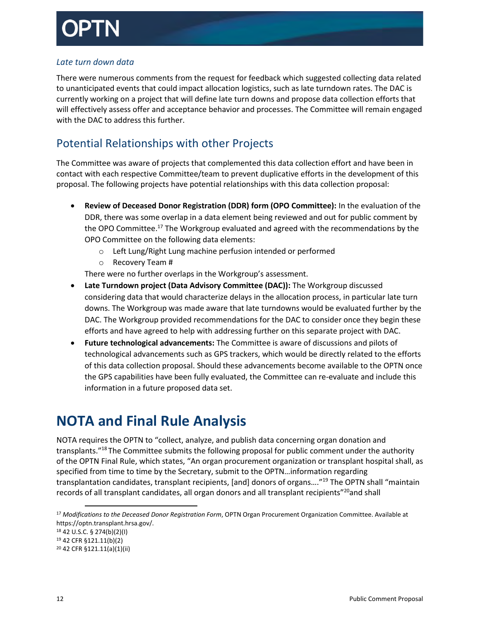### *Late turn down data*

There were numerous comments from the request for feedback which suggested collecting data related to unanticipated events that could impact allocation logistics, such as late turndown rates. The DAC is currently working on a project that will define late turn downs and propose data collection efforts that will effectively assess offer and acceptance behavior and processes. The Committee will remain engaged with the DAC to address this further.

# Potential Relationships with other Projects

The Committee was aware of projects that complemented this data collection effort and have been in contact with each respective Committee/team to prevent duplicative efforts in the development of this proposal. The following projects have potential relationships with this data collection proposal:

- **Review of Deceased Donor Registration (DDR) form (OPO Committee):** In the evaluation of the DDR, there was some overlap in a data element being reviewed and out for public comment by the OPO Committee. $^{17}$  The Workgroup evaluated and agreed with the recommendations by the OPO Committee on the following data elements:
	- o Left Lung/Right Lung machine perfusion intended or performed
	- o Recovery Team #

There were no further overlaps in the Workgroup's assessment.

- **Late Turndown project (Data Advisory Committee (DAC)):** The Workgroup discussed considering data that would characterize delays in the allocation process, in particular late turn downs. The Workgroup was made aware that late turndowns would be evaluated further by the DAC. The Workgroup provided recommendations for the DAC to consider once they begin these efforts and have agreed to help with addressing further on this separate project with DAC.
- **Future technological advancements:** The Committee is aware of discussions and pilots of technological advancements such as GPS trackers, which would be directly related to the efforts of this data collection proposal. Should these advancements become available to the OPTN once the GPS capabilities have been fully evaluated, the Committee can re-evaluate and include this information in a future proposed data set.

# <span id="page-11-0"></span>**NOTA and Final Rule Analysis**

NOTA requires the OPTN to "collect, analyze, and publish data concerning organ donation and transplants."<sup>18</sup> The Committee submits the following proposal for public comment under the authority of the OPTN Final Rule, which states, "An organ procurement organization or transplant hospital shall, as specified from time to time by the Secretary, submit to the OPTN…information regarding transplantation candidates, transplant recipients, [and] donors of organs....<sup>"19</sup> The OPTN shall "maintain records of all transplant candidates, all organ donors and all transplant recipients"<sup>20</sup>and shall

<sup>18</sup> 42 U.S.C. § 274(b)(2)(I)

l

<sup>17</sup> *Modifications to the Deceased Donor Registration Form*, OPTN Organ Procurement Organization Committee. Available at https://optn.transplant.hrsa.gov/.

<sup>19</sup> 42 CFR §121.11(b)(2)

<sup>20</sup> 42 CFR §121.11(a)(1)(ii)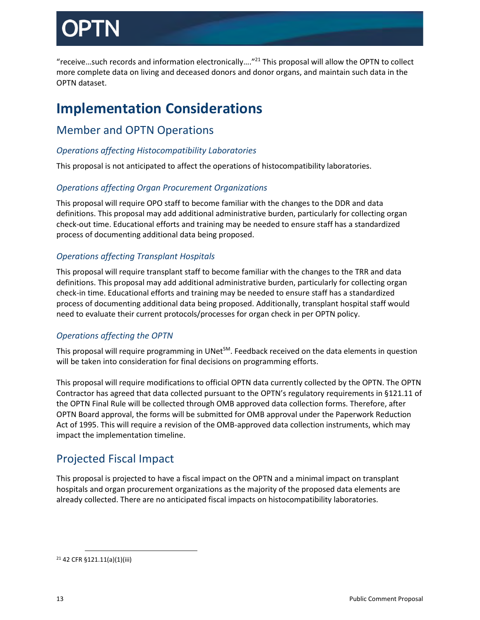"receive…such records and information electronically…." <sup>21</sup> This proposal will allow the OPTN to collect more complete data on living and deceased donors and donor organs, and maintain such data in the OPTN dataset.

# <span id="page-12-0"></span>**Implementation Considerations**

# Member and OPTN Operations

## *Operations affecting Histocompatibility Laboratories*

This proposal is not anticipated to affect the operations of histocompatibility laboratories.

## *Operations affecting Organ Procurement Organizations*

This proposal will require OPO staff to become familiar with the changes to the DDR and data definitions. This proposal may add additional administrative burden, particularly for collecting organ check-out time. Educational efforts and training may be needed to ensure staff has a standardized process of documenting additional data being proposed.

## *Operations affecting Transplant Hospitals*

This proposal will require transplant staff to become familiar with the changes to the TRR and data definitions. This proposal may add additional administrative burden, particularly for collecting organ check-in time. Educational efforts and training may be needed to ensure staff has a standardized process of documenting additional data being proposed. Additionally, transplant hospital staff would need to evaluate their current protocols/processes for organ check in per OPTN policy.

## *Operations affecting the OPTN*

This proposal will require programming in UNet $^{5M}$ . Feedback received on the data elements in question will be taken into consideration for final decisions on programming efforts.

This proposal will require modifications to official OPTN data currently collected by the OPTN. The OPTN Contractor has agreed that data collected pursuant to the OPTN's regulatory requirements in §121.11 of the OPTN Final Rule will be collected through OMB approved data collection forms. Therefore, after OPTN Board approval, the forms will be submitted for OMB approval under the Paperwork Reduction Act of 1995. This will require a revision of the OMB-approved data collection instruments, which may impact the implementation timeline.

# Projected Fiscal Impact

This proposal is projected to have a fiscal impact on the OPTN and a minimal impact on transplant hospitals and organ procurement organizations as the majority of the proposed data elements are already collected. There are no anticipated fiscal impacts on histocompatibility laboratories.

<sup>21</sup> 42 CFR §121.11(a)(1)(iii)

 $\overline{a}$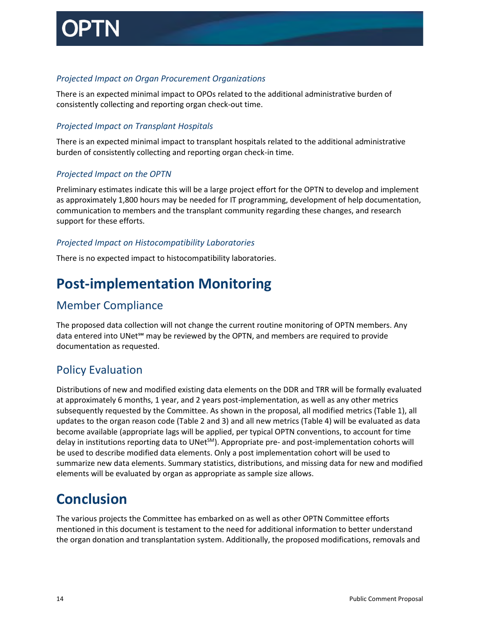

### *Projected Impact on Organ Procurement Organizations*

There is an expected minimal impact to OPOs related to the additional administrative burden of consistently collecting and reporting organ check-out time.

### *Projected Impact on Transplant Hospitals*

There is an expected minimal impact to transplant hospitals related to the additional administrative burden of consistently collecting and reporting organ check-in time.

### *Projected Impact on the OPTN*

Preliminary estimates indicate this will be a large project effort for the OPTN to develop and implement as approximately 1,800 hours may be needed for IT programming, development of help documentation, communication to members and the transplant community regarding these changes, and research support for these efforts.

### *Projected Impact on Histocompatibility Laboratories*

There is no expected impact to histocompatibility laboratories.

# <span id="page-13-0"></span>**Post-implementation Monitoring**

# Member Compliance

The proposed data collection will not change the current routine monitoring of OPTN members. Any data entered into UNet℠ may be reviewed by the OPTN, and members are required to provide documentation as requested.

# Policy Evaluation

Distributions of new and modified existing data elements on the DDR and TRR will be formally evaluated at approximately 6 months, 1 year, and 2 years post-implementation, as well as any other metrics subsequently requested by the Committee. As shown in the proposal, all modified metrics (Table 1), all updates to the organ reason code (Table 2 and 3) and all new metrics (Table 4) will be evaluated as data become available (appropriate lags will be applied, per typical OPTN conventions, to account for time delay in institutions reporting data to UNet<sup>SM</sup>). Appropriate pre- and post-implementation cohorts will be used to describe modified data elements. Only a post implementation cohort will be used to summarize new data elements. Summary statistics, distributions, and missing data for new and modified elements will be evaluated by organ as appropriate as sample size allows.

# <span id="page-13-1"></span>**Conclusion**

The various projects the Committee has embarked on as well as other OPTN Committee efforts mentioned in this document is testament to the need for additional information to better understand the organ donation and transplantation system. Additionally, the proposed modifications, removals and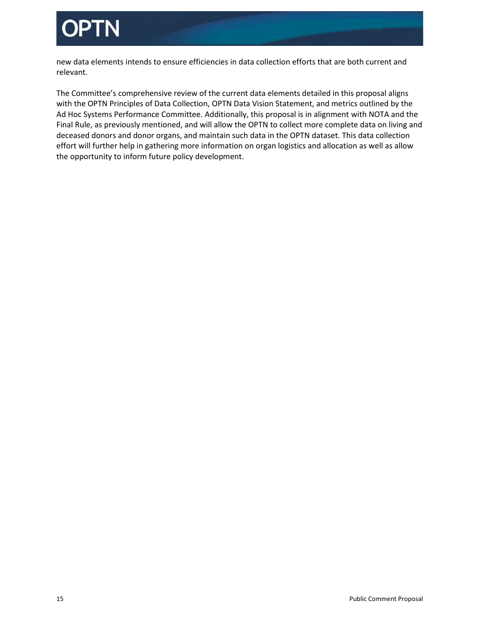

new data elements intends to ensure efficiencies in data collection efforts that are both current and relevant.

The Committee's comprehensive review of the current data elements detailed in this proposal aligns with the OPTN Principles of Data Collection, OPTN Data Vision Statement, and metrics outlined by the Ad Hoc Systems Performance Committee. Additionally, this proposal is in alignment with NOTA and the Final Rule, as previously mentioned, and will allow the OPTN to collect more complete data on living and deceased donors and donor organs, and maintain such data in the OPTN dataset. This data collection effort will further help in gathering more information on organ logistics and allocation as well as allow the opportunity to inform future policy development.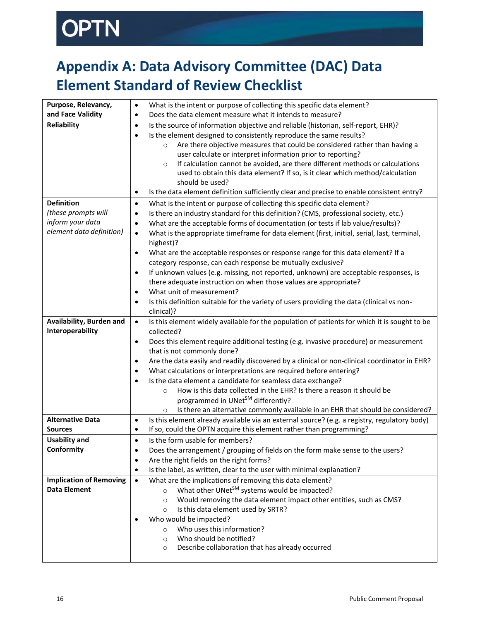# OPTN

# <span id="page-15-0"></span>**Appendix A: Data Advisory Committee (DAC) Data Element Standard of Review Checklist**

| Purpose, Relevancy,                                   | What is the intent or purpose of collecting this specific data element?<br>$\bullet$                                                                                             |
|-------------------------------------------------------|----------------------------------------------------------------------------------------------------------------------------------------------------------------------------------|
| and Face Validity                                     | Does the data element measure what it intends to measure?<br>$\bullet$                                                                                                           |
| <b>Reliability</b>                                    | Is the source of information objective and reliable (historian, self-report, EHR)?<br>$\bullet$                                                                                  |
|                                                       | Is the element designed to consistently reproduce the same results?<br>$\bullet$                                                                                                 |
|                                                       | Are there objective measures that could be considered rather than having a<br>$\circ$                                                                                            |
|                                                       | user calculate or interpret information prior to reporting?                                                                                                                      |
|                                                       | If calculation cannot be avoided, are there different methods or calculations<br>$\circ$                                                                                         |
|                                                       | used to obtain this data element? If so, is it clear which method/calculation                                                                                                    |
|                                                       | should be used?                                                                                                                                                                  |
|                                                       | Is the data element definition sufficiently clear and precise to enable consistent entry?<br>$\bullet$                                                                           |
| <b>Definition</b>                                     | What is the intent or purpose of collecting this specific data element?<br>$\bullet$                                                                                             |
| (these prompts will                                   | Is there an industry standard for this definition? (CMS, professional society, etc.)<br>$\bullet$                                                                                |
| inform your data                                      | What are the acceptable forms of documentation (or tests if lab value/results)?<br>$\bullet$                                                                                     |
| element data definition)                              | What is the appropriate timeframe for data element (first, initial, serial, last, terminal,<br>$\bullet$                                                                         |
|                                                       | highest)?                                                                                                                                                                        |
|                                                       | What are the acceptable responses or response range for this data element? If a<br>$\bullet$                                                                                     |
|                                                       | category response, can each response be mutually exclusive?                                                                                                                      |
|                                                       | If unknown values (e.g. missing, not reported, unknown) are acceptable responses, is<br>$\bullet$                                                                                |
|                                                       | there adequate instruction on when those values are appropriate?                                                                                                                 |
|                                                       | What unit of measurement?<br>$\bullet$                                                                                                                                           |
|                                                       | Is this definition suitable for the variety of users providing the data (clinical vs non-<br>$\bullet$                                                                           |
|                                                       | clinical)?                                                                                                                                                                       |
| Availability, Burden and                              | Is this element widely available for the population of patients for which it is sought to be<br>$\bullet$                                                                        |
| Interoperability                                      | collected?                                                                                                                                                                       |
|                                                       | Does this element require additional testing (e.g. invasive procedure) or measurement<br>$\bullet$                                                                               |
|                                                       | that is not commonly done?                                                                                                                                                       |
|                                                       | Are the data easily and readily discovered by a clinical or non-clinical coordinator in EHR?<br>$\bullet$                                                                        |
|                                                       | What calculations or interpretations are required before entering?<br>$\bullet$                                                                                                  |
|                                                       | Is the data element a candidate for seamless data exchange?<br>$\bullet$                                                                                                         |
|                                                       | How is this data collected in the EHR? Is there a reason it should be<br>$\circ$                                                                                                 |
|                                                       | programmed in UNet <sup>SM</sup> differently?                                                                                                                                    |
| <b>Alternative Data</b>                               | Is there an alternative commonly available in an EHR that should be considered?<br>$\circ$                                                                                       |
| <b>Sources</b>                                        | Is this element already available via an external source? (e.g. a registry, regulatory body)<br>$\bullet$<br>If so, could the OPTN acquire this element rather than programming? |
|                                                       | $\bullet$<br>Is the form usable for members?                                                                                                                                     |
| <b>Usability and</b><br>Conformity                    | $\bullet$                                                                                                                                                                        |
|                                                       | Does the arrangement / grouping of fields on the form make sense to the users?                                                                                                   |
|                                                       | Are the right fields on the right forms?<br>$\bullet$<br>Is the label, as written, clear to the user with minimal explanation?<br>$\bullet$                                      |
|                                                       |                                                                                                                                                                                  |
| <b>Implication of Removing</b><br><b>Data Element</b> | What are the implications of removing this data element?<br>$\bullet$<br>What other UNet <sup>SM</sup> systems would be impacted?                                                |
|                                                       | $\circ$<br>Would removing the data element impact other entities, such as CMS?                                                                                                   |
|                                                       | $\circ$<br>Is this data element used by SRTR?                                                                                                                                    |
|                                                       | $\circ$<br>Who would be impacted?                                                                                                                                                |
|                                                       | Who uses this information?<br>$\circ$                                                                                                                                            |
|                                                       | Who should be notified?                                                                                                                                                          |
|                                                       | $\circ$<br>Describe collaboration that has already occurred<br>$\circ$                                                                                                           |
|                                                       |                                                                                                                                                                                  |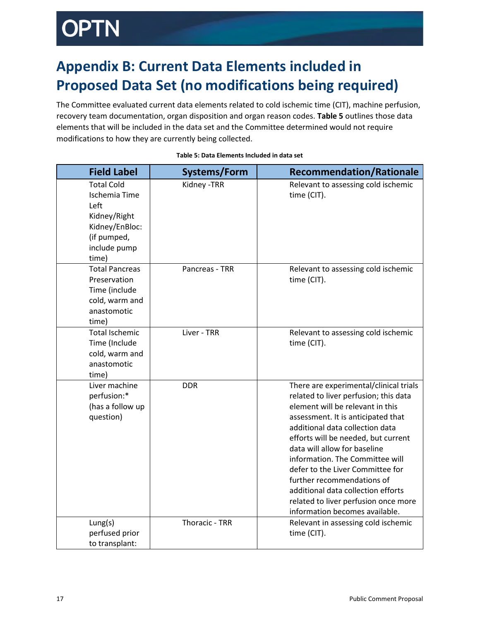# )PTN

# <span id="page-16-0"></span>**Appendix B: Current Data Elements included in Proposed Data Set (no modifications being required)**

The Committee evaluated current data elements related to cold ischemic time (CIT), machine perfusion, recovery team documentation, organ disposition and organ reason codes. **Table 5** outlines those data elements that will be included in the data set and the Committee determined would not require modifications to how they are currently being collected.

| <b>Field Label</b>                                                                                                          | Systems/Form          | <b>Recommendation/Rationale</b>                                                                                                                                                                                                                                                                                                                                                                                                                                                          |
|-----------------------------------------------------------------------------------------------------------------------------|-----------------------|------------------------------------------------------------------------------------------------------------------------------------------------------------------------------------------------------------------------------------------------------------------------------------------------------------------------------------------------------------------------------------------------------------------------------------------------------------------------------------------|
| <b>Total Cold</b><br><b>Ischemia Time</b><br>Left<br>Kidney/Right<br>Kidney/EnBloc:<br>(if pumped,<br>include pump<br>time) | Kidney - TRR          | Relevant to assessing cold ischemic<br>time (CIT).                                                                                                                                                                                                                                                                                                                                                                                                                                       |
| <b>Total Pancreas</b><br>Preservation<br>Time (include<br>cold, warm and<br>anastomotic<br>time)                            | Pancreas - TRR        | Relevant to assessing cold ischemic<br>time (CIT).                                                                                                                                                                                                                                                                                                                                                                                                                                       |
| <b>Total Ischemic</b><br>Time (Include<br>cold, warm and<br>anastomotic<br>time)                                            | Liver - TRR           | Relevant to assessing cold ischemic<br>time (CIT).                                                                                                                                                                                                                                                                                                                                                                                                                                       |
| Liver machine<br>perfusion:*<br>(has a follow up<br>question)                                                               | <b>DDR</b>            | There are experimental/clinical trials<br>related to liver perfusion; this data<br>element will be relevant in this<br>assessment. It is anticipated that<br>additional data collection data<br>efforts will be needed, but current<br>data will allow for baseline<br>information. The Committee will<br>defer to the Liver Committee for<br>further recommendations of<br>additional data collection efforts<br>related to liver perfusion once more<br>information becomes available. |
| Lung(s)<br>perfused prior<br>to transplant:                                                                                 | <b>Thoracic - TRR</b> | Relevant in assessing cold ischemic<br>time (CIT).                                                                                                                                                                                                                                                                                                                                                                                                                                       |

### **Table 5: Data Elements Included in data set**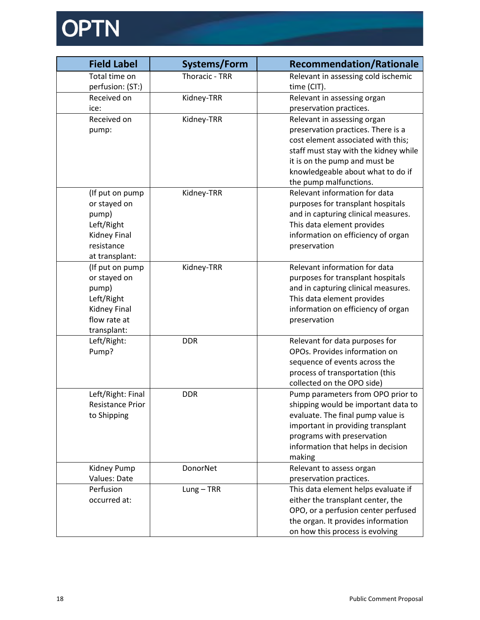# OPTN

| <b>Field Label</b>    | Systems/Form          | <b>Recommendation/Rationale</b>                                          |
|-----------------------|-----------------------|--------------------------------------------------------------------------|
| Total time on         | <b>Thoracic - TRR</b> | Relevant in assessing cold ischemic                                      |
| perfusion: (ST:)      |                       | time (CIT).                                                              |
| Received on           | Kidney-TRR            | Relevant in assessing organ                                              |
| ice:                  |                       | preservation practices.                                                  |
| Received on           | Kidney-TRR            | Relevant in assessing organ                                              |
| pump:                 |                       | preservation practices. There is a                                       |
|                       |                       | cost element associated with this;                                       |
|                       |                       | staff must stay with the kidney while                                    |
|                       |                       | it is on the pump and must be                                            |
|                       |                       | knowledgeable about what to do if                                        |
|                       |                       | the pump malfunctions.                                                   |
| (If put on pump       | Kidney-TRR            | Relevant information for data                                            |
| or stayed on          |                       | purposes for transplant hospitals                                        |
| pump)                 |                       | and in capturing clinical measures.                                      |
| Left/Right            |                       | This data element provides                                               |
| Kidney Final          |                       | information on efficiency of organ                                       |
| resistance            |                       | preservation                                                             |
| at transplant:        |                       |                                                                          |
| (If put on pump       | Kidney-TRR            | Relevant information for data                                            |
| or stayed on<br>pump) |                       | purposes for transplant hospitals<br>and in capturing clinical measures. |
| Left/Right            |                       | This data element provides                                               |
| Kidney Final          |                       | information on efficiency of organ                                       |
| flow rate at          |                       | preservation                                                             |
| transplant:           |                       |                                                                          |
| Left/Right:           | <b>DDR</b>            | Relevant for data purposes for                                           |
| Pump?                 |                       | OPOs. Provides information on                                            |
|                       |                       | sequence of events across the                                            |
|                       |                       | process of transportation (this                                          |
|                       |                       | collected on the OPO side)                                               |
| Left/Right: Final     | <b>DDR</b>            | Pump parameters from OPO prior to                                        |
| Resistance Prior      |                       | shipping would be important data to                                      |
| to Shipping           |                       | evaluate. The final pump value is                                        |
|                       |                       | important in providing transplant                                        |
|                       |                       | programs with preservation                                               |
|                       |                       | information that helps in decision                                       |
|                       |                       | making                                                                   |
| Kidney Pump           | DonorNet              | Relevant to assess organ                                                 |
| Values: Date          |                       | preservation practices.                                                  |
| Perfusion             | $Lung - TRR$          | This data element helps evaluate if                                      |
| occurred at:          |                       | either the transplant center, the                                        |
|                       |                       | OPO, or a perfusion center perfused                                      |
|                       |                       | the organ. It provides information                                       |
|                       |                       | on how this process is evolving                                          |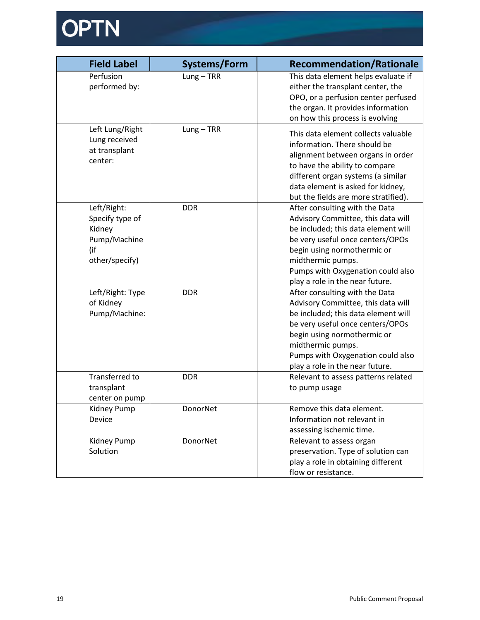

| <b>Field Label</b>                                                                | <b>Systems/Form</b> | <b>Recommendation/Rationale</b>                                                                                                                                                                                                                                             |
|-----------------------------------------------------------------------------------|---------------------|-----------------------------------------------------------------------------------------------------------------------------------------------------------------------------------------------------------------------------------------------------------------------------|
| Perfusion<br>performed by:                                                        | $Lung - TRR$        | This data element helps evaluate if<br>either the transplant center, the<br>OPO, or a perfusion center perfused<br>the organ. It provides information<br>on how this process is evolving                                                                                    |
| Left Lung/Right<br>Lung received<br>at transplant<br>center:                      | $Lung - TRR$        | This data element collects valuable<br>information. There should be<br>alignment between organs in order<br>to have the ability to compare<br>different organ systems (a similar<br>data element is asked for kidney,<br>but the fields are more stratified).               |
| Left/Right:<br>Specify type of<br>Kidney<br>Pump/Machine<br>(if<br>other/specify) | <b>DDR</b>          | After consulting with the Data<br>Advisory Committee, this data will<br>be included; this data element will<br>be very useful once centers/OPOs<br>begin using normothermic or<br>midthermic pumps.<br>Pumps with Oxygenation could also<br>play a role in the near future. |
| Left/Right: Type<br>of Kidney<br>Pump/Machine:                                    | <b>DDR</b>          | After consulting with the Data<br>Advisory Committee, this data will<br>be included; this data element will<br>be very useful once centers/OPOs<br>begin using normothermic or<br>midthermic pumps.<br>Pumps with Oxygenation could also<br>play a role in the near future. |
| Transferred to<br>transplant<br>center on pump                                    | <b>DDR</b>          | Relevant to assess patterns related<br>to pump usage                                                                                                                                                                                                                        |
| Kidney Pump<br>Device                                                             | DonorNet            | Remove this data element.<br>Information not relevant in<br>assessing ischemic time.                                                                                                                                                                                        |
| Kidney Pump<br>Solution                                                           | DonorNet            | Relevant to assess organ<br>preservation. Type of solution can<br>play a role in obtaining different<br>flow or resistance.                                                                                                                                                 |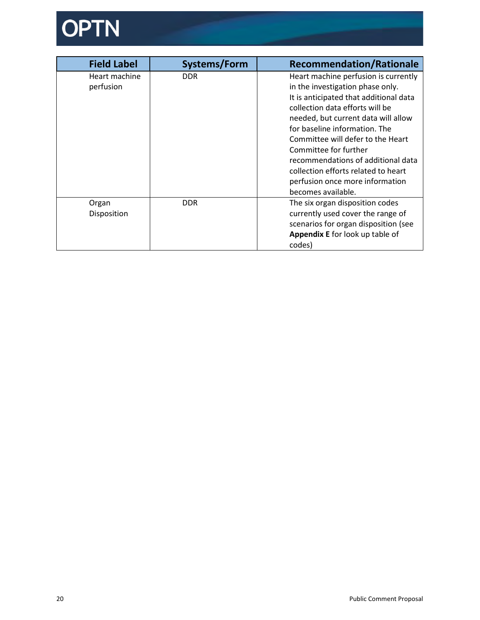

<span id="page-19-0"></span>

| <b>Field Label</b> | Systems/Form | <b>Recommendation/Rationale</b>        |
|--------------------|--------------|----------------------------------------|
| Heart machine      | DDR.         | Heart machine perfusion is currently   |
| perfusion          |              | in the investigation phase only.       |
|                    |              | It is anticipated that additional data |
|                    |              | collection data efforts will be        |
|                    |              | needed, but current data will allow    |
|                    |              | for baseline information. The          |
|                    |              | Committee will defer to the Heart      |
|                    |              | Committee for further                  |
|                    |              | recommendations of additional data     |
|                    |              | collection efforts related to heart    |
|                    |              | perfusion once more information        |
|                    |              | becomes available.                     |
| Organ              | DDR.         | The six organ disposition codes        |
| Disposition        |              | currently used cover the range of      |
|                    |              | scenarios for organ disposition (see   |
|                    |              | Appendix E for look up table of        |
|                    |              | codes)                                 |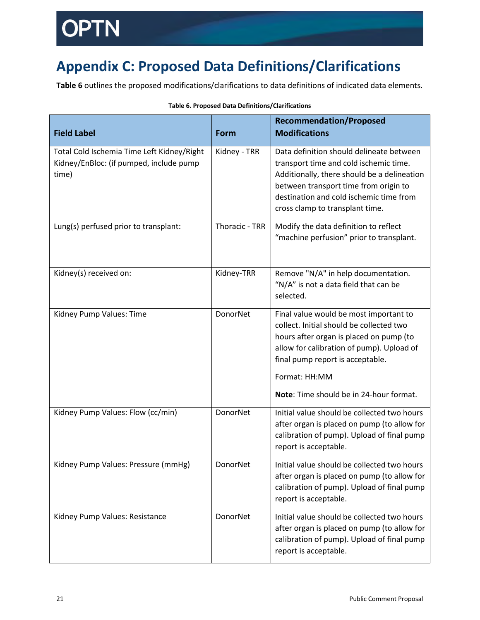# **Appendix C: Proposed Data Definitions/Clarifications**

**Table 6** outlines the proposed modifications/clarifications to data definitions of indicated data elements.

| <b>Field Label</b>                                                                             | <b>Form</b>           | <b>Recommendation/Proposed</b><br><b>Modifications</b>                                                                                                                                                                                                                     |
|------------------------------------------------------------------------------------------------|-----------------------|----------------------------------------------------------------------------------------------------------------------------------------------------------------------------------------------------------------------------------------------------------------------------|
| Total Cold Ischemia Time Left Kidney/Right<br>Kidney/EnBloc: (if pumped, include pump<br>time) | Kidney - TRR          | Data definition should delineate between<br>transport time and cold ischemic time.<br>Additionally, there should be a delineation<br>between transport time from origin to<br>destination and cold ischemic time from<br>cross clamp to transplant time.                   |
| Lung(s) perfused prior to transplant:                                                          | <b>Thoracic - TRR</b> | Modify the data definition to reflect<br>"machine perfusion" prior to transplant.                                                                                                                                                                                          |
| Kidney(s) received on:                                                                         | Kidney-TRR            | Remove "N/A" in help documentation.<br>"N/A" is not a data field that can be<br>selected.                                                                                                                                                                                  |
| Kidney Pump Values: Time                                                                       | DonorNet              | Final value would be most important to<br>collect. Initial should be collected two<br>hours after organ is placed on pump (to<br>allow for calibration of pump). Upload of<br>final pump report is acceptable.<br>Format: HH:MM<br>Note: Time should be in 24-hour format. |
| Kidney Pump Values: Flow (cc/min)                                                              | DonorNet              | Initial value should be collected two hours<br>after organ is placed on pump (to allow for<br>calibration of pump). Upload of final pump<br>report is acceptable.                                                                                                          |
| Kidney Pump Values: Pressure (mmHg)                                                            | DonorNet              | Initial value should be collected two hours<br>after organ is placed on pump (to allow for<br>calibration of pump). Upload of final pump<br>report is acceptable.                                                                                                          |
| Kidney Pump Values: Resistance                                                                 | DonorNet              | Initial value should be collected two hours<br>after organ is placed on pump (to allow for<br>calibration of pump). Upload of final pump<br>report is acceptable.                                                                                                          |

### **Table 6. Proposed Data Definitions/Clarifications**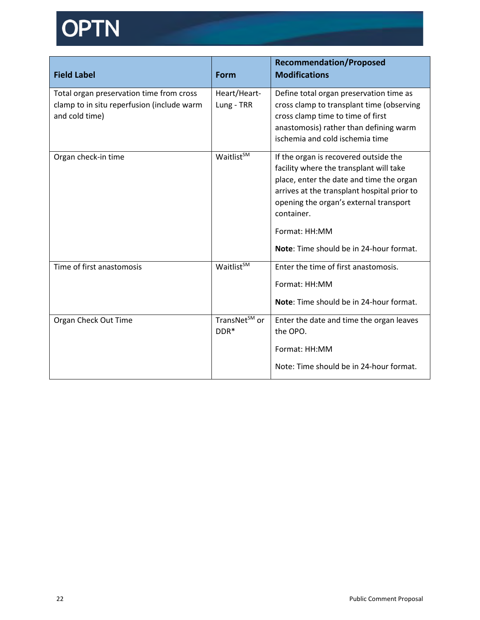# OPTN

| <b>Field Label</b>                                                                                       | Form                              | <b>Recommendation/Proposed</b><br><b>Modifications</b>                                                                                                                                                                                                                                          |
|----------------------------------------------------------------------------------------------------------|-----------------------------------|-------------------------------------------------------------------------------------------------------------------------------------------------------------------------------------------------------------------------------------------------------------------------------------------------|
| Total organ preservation time from cross<br>clamp to in situ reperfusion (include warm<br>and cold time) | Heart/Heart-<br>Lung - TRR        | Define total organ preservation time as<br>cross clamp to transplant time (observing<br>cross clamp time to time of first<br>anastomosis) rather than defining warm<br>ischemia and cold ischemia time                                                                                          |
| Organ check-in time                                                                                      | Waitlist <sup>SM</sup>            | If the organ is recovered outside the<br>facility where the transplant will take<br>place, enter the date and time the organ<br>arrives at the transplant hospital prior to<br>opening the organ's external transport<br>container.<br>Format: HH:MM<br>Note: Time should be in 24-hour format. |
| Time of first anastomosis                                                                                | Waitlist <sup>SM</sup>            | Enter the time of first anastomosis.<br>Format: HH:MM<br>Note: Time should be in 24-hour format.                                                                                                                                                                                                |
| Organ Check Out Time                                                                                     | TransNet <sup>SM</sup> or<br>DDR* | Enter the date and time the organ leaves<br>the OPO.<br>Format: HH:MM<br>Note: Time should be in 24-hour format.                                                                                                                                                                                |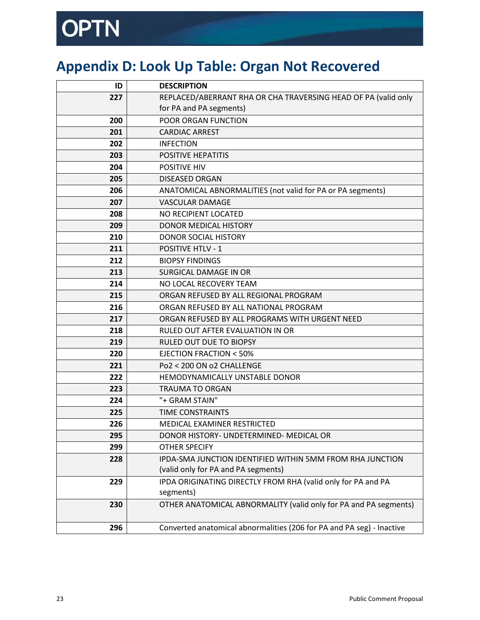# PTN

# <span id="page-22-0"></span>**Appendix D: Look Up Table: Organ Not Recovered**

| ID  | <b>DESCRIPTION</b>                                                    |
|-----|-----------------------------------------------------------------------|
| 227 | REPLACED/ABERRANT RHA OR CHA TRAVERSING HEAD OF PA (valid only        |
|     | for PA and PA segments)                                               |
| 200 | POOR ORGAN FUNCTION                                                   |
| 201 | <b>CARDIAC ARREST</b>                                                 |
| 202 | <b>INFECTION</b>                                                      |
| 203 | <b>POSITIVE HEPATITIS</b>                                             |
| 204 | <b>POSITIVE HIV</b>                                                   |
| 205 | <b>DISEASED ORGAN</b>                                                 |
| 206 | ANATOMICAL ABNORMALITIES (not valid for PA or PA segments)            |
| 207 | <b>VASCULAR DAMAGE</b>                                                |
| 208 | NO RECIPIENT LOCATED                                                  |
| 209 | DONOR MEDICAL HISTORY                                                 |
| 210 | <b>DONOR SOCIAL HISTORY</b>                                           |
| 211 | <b>POSITIVE HTLV - 1</b>                                              |
| 212 | <b>BIOPSY FINDINGS</b>                                                |
| 213 | <b>SURGICAL DAMAGE IN OR</b>                                          |
| 214 | NO LOCAL RECOVERY TEAM                                                |
| 215 | ORGAN REFUSED BY ALL REGIONAL PROGRAM                                 |
| 216 | ORGAN REFUSED BY ALL NATIONAL PROGRAM                                 |
| 217 | ORGAN REFUSED BY ALL PROGRAMS WITH URGENT NEED                        |
| 218 | RULED OUT AFTER EVALUATION IN OR                                      |
| 219 | RULED OUT DUE TO BIOPSY                                               |
| 220 | <b>EJECTION FRACTION &lt; 50%</b>                                     |
| 221 | Po2 < 200 ON o2 CHALLENGE                                             |
| 222 | HEMODYNAMICALLY UNSTABLE DONOR                                        |
| 223 | <b>TRAUMA TO ORGAN</b>                                                |
| 224 | "+ GRAM STAIN"                                                        |
| 225 | <b>TIME CONSTRAINTS</b>                                               |
| 226 | <b>MEDICAL EXAMINER RESTRICTED</b>                                    |
| 295 | DONOR HISTORY- UNDETERMINED- MEDICAL OR                               |
| 299 | <b>OTHER SPECIFY</b>                                                  |
| 228 | IPDA-SMA JUNCTION IDENTIFIED WITHIN 5MM FROM RHA JUNCTION             |
|     | (valid only for PA and PA segments)                                   |
| 229 | IPDA ORIGINATING DIRECTLY FROM RHA (valid only for PA and PA          |
|     | segments)                                                             |
| 230 | OTHER ANATOMICAL ABNORMALITY (valid only for PA and PA segments)      |
|     |                                                                       |
| 296 | Converted anatomical abnormalities (206 for PA and PA seg) - Inactive |